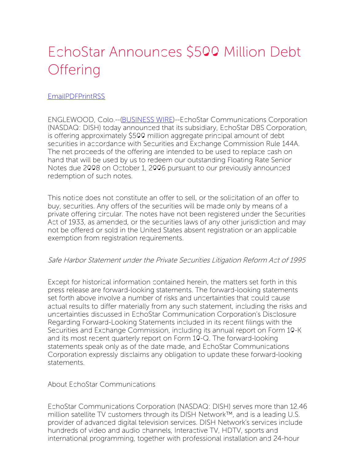## EchoStar Announces \$500 Million Debt **Offering**

## [Email](http://about.dish.com/printmail/738)[PDF](http://about.dish.com/printpdf/738)[Print](http://about.dish.com/print/node/738)[RSS](http://about.dish.com/feeds/press_release/all/rss.xml)

ENGLEWOOD, Colo.--[\(BUSINESS](http://www.businesswire.com/) WIRE)--EchoStar Communications Corporation (NASDAQ: DISH) today announced that its subsidiary, EchoStar DBS Corporation, is offering approximately \$500 million aggregate principal amount of debt securities in accordance with Securities and Exchange Commission Rule 144A. The net proceeds of the offering are intended to be used to replace cash on hand that will be used by us to redeem our outstanding Floating Rate Senior Notes due 2008 on October 1, 2006 pursuant to our previously announced redemption of such notes.

This notice does not constitute an offer to sell, or the solicitation of an offer to buy, securities. Any offers of the securities will be made only by means of a private offering circular. The notes have not been registered under the Securities Act of 1933, as amended, or the securities laws of any other jurisdiction and may not be offered or sold in the United States absent registration or an applicable exemption from registration requirements.

## Safe Harbor Statement under the Private Securities Litigation Reform Act of 1995

Except for historical information contained herein, the matters set forth in this press release are forward-looking statements. The forward-looking statements set forth above involve a number of risks and uncertainties that could cause actual results to differ materially from any such statement, including the risks and uncertainties discussed in EchoStar Communication Corporation's Disclosure Regarding Forward-Looking Statements included in its recent filings with the Securities and Exchange Commission, including its annual report on Form 10-K and its most recent quarterly report on Form 10-Q. The forward-looking statements speak only as of the date made, and EchoStar Communications Corporation expressly disclaims any obligation to update these forward-looking statements.

About EchoStar Communications

EchoStar Communications Corporation (NASDAQ: DISH) serves more than 12.46 million satellite TV customers through its DISH Network™, and is a leading U.S. provider of advanced digital television services. DISH Network's services include hundreds of video and audio channels, Interactive TV, HDTV, sports and international programming, together with professional installation and 24-hour